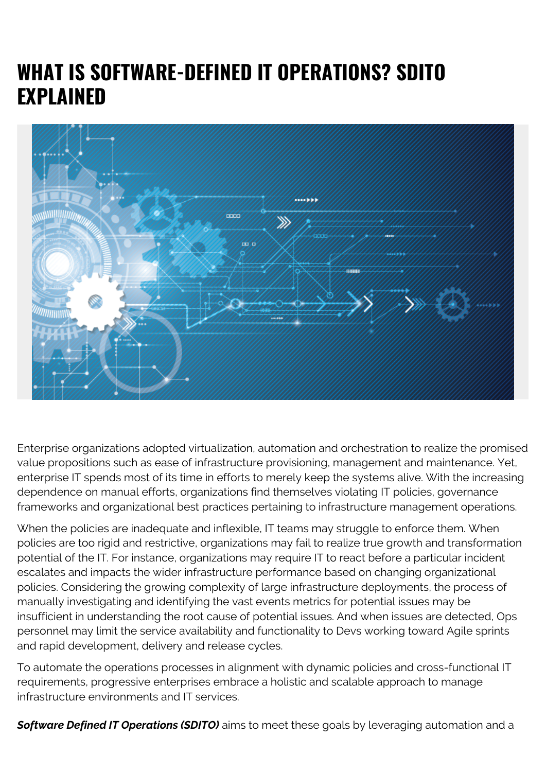## **WHAT IS SOFTWARE-DEFINED IT OPERATIONS? SDITO EXPLAINED**



Enterprise organizations adopted virtualization, automation and orchestration to realize the promised value propositions such as ease of infrastructure provisioning, management and maintenance. Yet, enterprise IT spends most of its time in efforts to merely keep the systems alive. With the increasing dependence on manual efforts, organizations find themselves violating IT policies, governance frameworks and organizational best practices pertaining to infrastructure management operations.

When the policies are inadequate and inflexible, IT teams may struggle to enforce them. When policies are too rigid and restrictive, organizations may fail to realize true growth and transformation potential of the IT. For instance, organizations may require IT to react before a particular incident escalates and impacts the wider infrastructure performance based on changing organizational policies. Considering the growing complexity of large infrastructure deployments, the process of manually investigating and identifying the vast events metrics for potential issues may be insufficient in understanding the root cause of potential issues. And when issues are detected, Ops personnel may limit the service availability and functionality to Devs working toward Agile sprints and rapid development, delivery and release cycles.

To automate the operations processes in alignment with dynamic policies and cross-functional IT requirements, progressive enterprises embrace a holistic and scalable approach to manage infrastructure environments and IT services.

**Software Defined IT Operations (SDITO)** aims to meet these goals by leveraging automation and a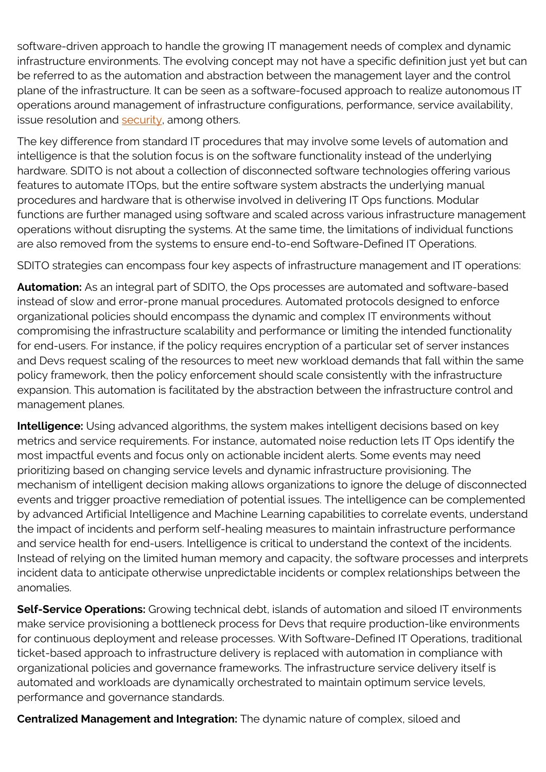software-driven approach to handle the growing IT management needs of complex and dynamic infrastructure environments. The evolving concept may not have a specific definition just yet but can be referred to as the automation and abstraction between the management layer and the control plane of the infrastructure. It can be seen as a software-focused approach to realize autonomous IT operations around management of infrastructure configurations, performance, service availability, issue resolution and  $\frac{\text{security}}{\text{)^}}$  among others.

The key difference from standard IT procedures that may involve some levels of automation and intelligence is that the solution focus is on the software functionality instead of the underlying hardware. SDITO is not about a collection of disconnected software technologies offering various features to automate ITOps, but the entire software system abstracts the underlying manual procedures and hardware that is otherwise involved in delivering IT Ops functions. Modular functions are further managed using software and scaled across various infrastructure management operations without disrupting the systems. At the same time, the limitations of individual functions are also removed from the systems to ensure end-to-end Software-Defined IT Operations.

SDITO strategies can encompass four key aspects of infrastructure management and IT operations:

**Automation:** As an integral part of SDITO, the Ops processes are automated and software-based instead of slow and error-prone manual procedures. Automated protocols designed to enforce organizational policies should encompass the dynamic and complex IT environments without compromising the infrastructure scalability and performance or limiting the intended functionality for end-users. For instance, if the policy requires encryption of a particular set of server instances and Devs request scaling of the resources to meet new workload demands that fall within the same policy framework, then the policy enforcement should scale consistently with the infrastructure expansion. This automation is facilitated by the abstraction between the infrastructure control and management planes.

**Intelligence:** Using advanced algorithms, the system makes intelligent decisions based on key metrics and service requirements. For instance, automated noise reduction lets IT Ops identify the most impactful events and focus only on actionable incident alerts. Some events may need prioritizing based on changing service levels and dynamic infrastructure provisioning. The mechanism of intelligent decision making allows organizations to ignore the deluge of disconnected events and trigger proactive remediation of potential issues. The intelligence can be complemented by advanced Artificial Intelligence and Machine Learning capabilities to correlate events, understand the impact of incidents and perform self-healing measures to maintain infrastructure performance and service health for end-users. Intelligence is critical to understand the context of the incidents. Instead of relying on the limited human memory and capacity, the software processes and interprets incident data to anticipate otherwise unpredictable incidents or complex relationships between the anomalies.

**Self-Service Operations:** Growing technical debt, islands of automation and siloed IT environments make service provisioning a bottleneck process for Devs that require production-like environments for continuous deployment and release processes. With Software-Defined IT Operations, traditional ticket-based approach to infrastructure delivery is replaced with automation in compliance with organizational policies and governance frameworks. The infrastructure service delivery itself is automated and workloads are dynamically orchestrated to maintain optimum service levels, performance and governance standards.

**Centralized Management and Integration:** The dynamic nature of complex, siloed and